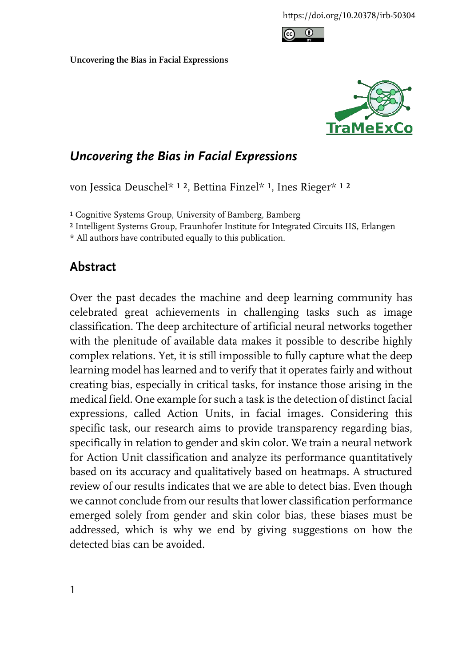



## *Uncovering the Bias in Facial Expressions*

von Jessica Deuschel\* 12, Bettina Finzel\* 1, Ines Rieger\* 12

<sup>1</sup> Cognitive Systems Group, University of Bamberg, Bamberg

² Intelligent Systems Group, Fraunhofer Institute for Integrated Circuits IIS, Erlangen

\* All authors have contributed equally to this publication.

## **Abstract**

Over the past decades the machine and deep learning community has celebrated great achievements in challenging tasks such as image classification. The deep architecture of artificial neural networks together with the plenitude of available data makes it possible to describe highly complex relations. Yet, it is still impossible to fully capture what the deep learning model has learned and to verify that it operates fairly and without creating bias, especially in critical tasks, for instance those arising in the medical field. One example for such a task is the detection of distinct facial expressions, called Action Units, in facial images. Considering this specific task, our research aims to provide transparency regarding bias, specifically in relation to gender and skin color. We train a neural network for Action Unit classification and analyze its performance quantitatively based on its accuracy and qualitatively based on heatmaps. A structured review of our results indicates that we are able to detect bias. Even though we cannot conclude from our results that lower classification performance emerged solely from gender and skin color bias, these biases must be addressed, which is why we end by giving suggestions on how the detected bias can be avoided.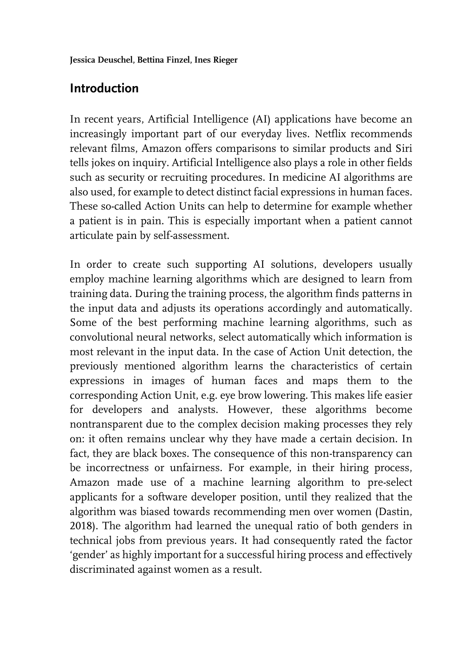# **Introduction**

In recent years, Artificial Intelligence (AI) applications have become an increasingly important part of our everyday lives. Netflix recommends relevant films, Amazon offers comparisons to similar products and Siri tells jokes on inquiry. Artificial Intelligence also plays a role in other fields such as security or recruiting procedures. In medicine AI algorithms are also used, for example to detect distinct facial expressions in human faces. These so-called Action Units can help to determine for example whether a patient is in pain. This is especially important when a patient cannot articulate pain by self-assessment.

In order to create such supporting AI solutions, developers usually employ machine learning algorithms which are designed to learn from training data. During the training process, the algorithm finds patterns in the input data and adjusts its operations accordingly and automatically. Some of the best performing machine learning algorithms, such as convolutional neural networks, select automatically which information is most relevant in the input data. In the case of Action Unit detection, the previously mentioned algorithm learns the characteristics of certain expressions in images of human faces and maps them to the corresponding Action Unit, e.g. eye brow lowering. This makes life easier for developers and analysts. However, these algorithms become nontransparent due to the complex decision making processes they rely on: it often remains unclear why they have made a certain decision. In fact, they are black boxes. The consequence of this non-transparency can be incorrectness or unfairness. For example, in their hiring process, Amazon made use of a machine learning algorithm to pre-select applicants for a software developer position, until they realized that the algorithm was biased towards recommending men over women (Dastin, 2018). The algorithm had learned the unequal ratio of both genders in technical jobs from previous years. It had consequently rated the factor 'gender' as highly important for a successful hiring process and effectively discriminated against women as a result.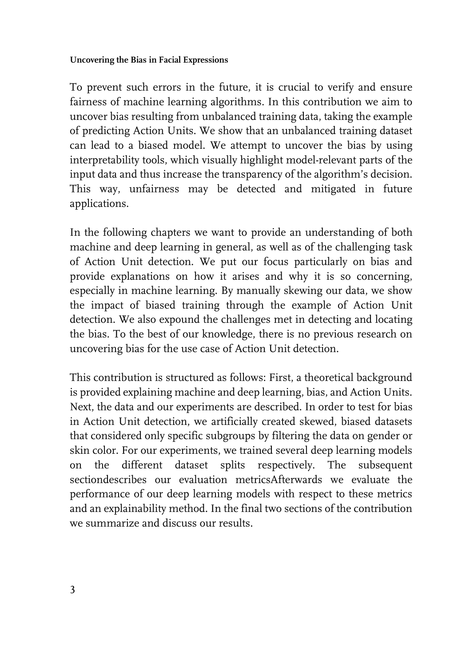To prevent such errors in the future, it is crucial to verify and ensure fairness of machine learning algorithms. In this contribution we aim to uncover bias resulting from unbalanced training data, taking the example of predicting Action Units. We show that an unbalanced training dataset can lead to a biased model. We attempt to uncover the bias by using interpretability tools, which visually highlight model-relevant parts of the input data and thus increase the transparency of the algorithm's decision. This way, unfairness may be detected and mitigated in future applications.

In the following chapters we want to provide an understanding of both machine and deep learning in general, as well as of the challenging task of Action Unit detection. We put our focus particularly on bias and provide explanations on how it arises and why it is so concerning, especially in machine learning. By manually skewing our data, we show the impact of biased training through the example of Action Unit detection. We also expound the challenges met in detecting and locating the bias. To the best of our knowledge, there is no previous research on uncovering bias for the use case of Action Unit detection.

This contribution is structured as follows: First, a theoretical background is provided explaining machine and deep learning, bias, and Action Units. Next, the data and our experiments are described. In order to test for bias in Action Unit detection, we artificially created skewed, biased datasets that considered only specific subgroups by filtering the data on gender or skin color. For our experiments, we trained several deep learning models on the different dataset splits respectively. The subsequent sectiondescribes our evaluation metricsAfterwards we evaluate the performance of our deep learning models with respect to these metrics and an explainability method. In the final two sections of the contribution we summarize and discuss our results.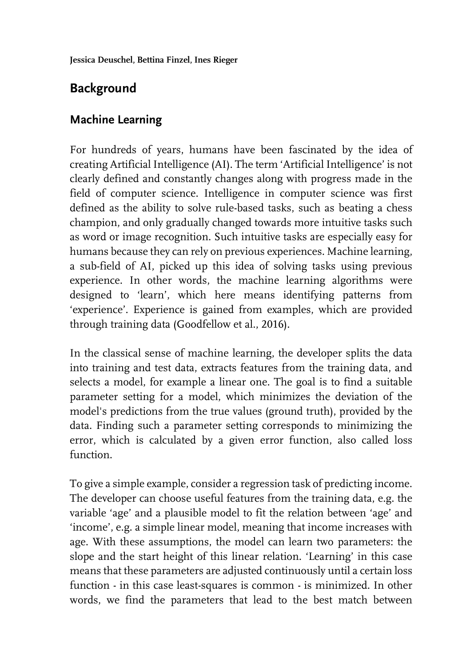# **Background**

## **Machine Learning**

For hundreds of years, humans have been fascinated by the idea of creating Artificial Intelligence (AI). The term 'Artificial Intelligence' is not clearly defined and constantly changes along with progress made in the field of computer science. Intelligence in computer science was first defined as the ability to solve rule-based tasks, such as beating a chess champion, and only gradually changed towards more intuitive tasks such as word or image recognition. Such intuitive tasks are especially easy for humans because they can rely on previous experiences. Machine learning, a sub-field of AI, picked up this idea of solving tasks using previous experience. In other words, the machine learning algorithms were designed to 'learn', which here means identifying patterns from 'experience'. Experience is gained from examples, which are provided through training data (Goodfellow et al., 2016).

In the classical sense of machine learning, the developer splits the data into training and test data, extracts features from the training data, and selects a model, for example a linear one. The goal is to find a suitable parameter setting for a model, which minimizes the deviation of the model's predictions from the true values (ground truth), provided by the data. Finding such a parameter setting corresponds to minimizing the error, which is calculated by a given error function, also called loss function.

To give a simple example, consider a regression task of predicting income. The developer can choose useful features from the training data, e.g. the variable 'age' and a plausible model to fit the relation between 'age' and 'income', e.g. a simple linear model, meaning that income increases with age. With these assumptions, the model can learn two parameters: the slope and the start height of this linear relation. 'Learning' in this case means that these parameters are adjusted continuously until a certain loss function - in this case least-squares is common - is minimized. In other words, we find the parameters that lead to the best match between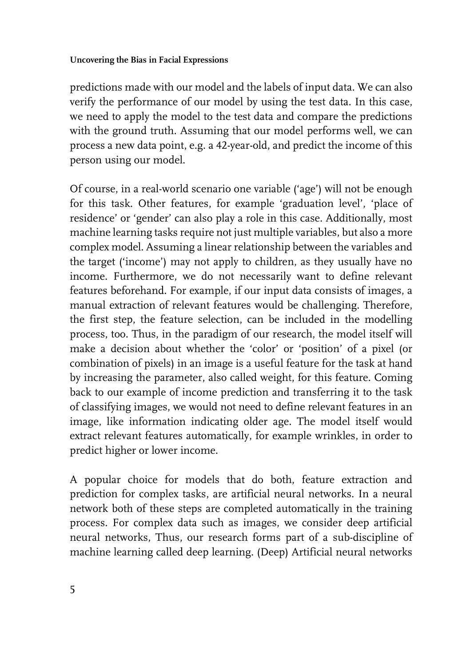predictions made with our model and the labels of input data. We can also verify the performance of our model by using the test data. In this case, we need to apply the model to the test data and compare the predictions with the ground truth. Assuming that our model performs well, we can process a new data point, e.g. a 42-year-old, and predict the income of this person using our model.

Of course, in a real-world scenario one variable ('age') will not be enough for this task. Other features, for example 'graduation level', 'place of residence' or 'gender' can also play a role in this case. Additionally, most machine learning tasks require not just multiple variables, but also a more complex model. Assuming a linear relationship between the variables and the target ('income') may not apply to children, as they usually have no income. Furthermore, we do not necessarily want to define relevant features beforehand. For example, if our input data consists of images, a manual extraction of relevant features would be challenging. Therefore, the first step, the feature selection, can be included in the modelling process, too. Thus, in the paradigm of our research, the model itself will make a decision about whether the 'color' or 'position' of a pixel (or combination of pixels) in an image is a useful feature for the task at hand by increasing the parameter, also called weight, for this feature. Coming back to our example of income prediction and transferring it to the task of classifying images, we would not need to define relevant features in an image, like information indicating older age. The model itself would extract relevant features automatically, for example wrinkles, in order to predict higher or lower income.

A popular choice for models that do both, feature extraction and prediction for complex tasks, are artificial neural networks. In a neural network both of these steps are completed automatically in the training process. For complex data such as images, we consider deep artificial neural networks, Thus, our research forms part of a sub-discipline of machine learning called deep learning. (Deep) Artificial neural networks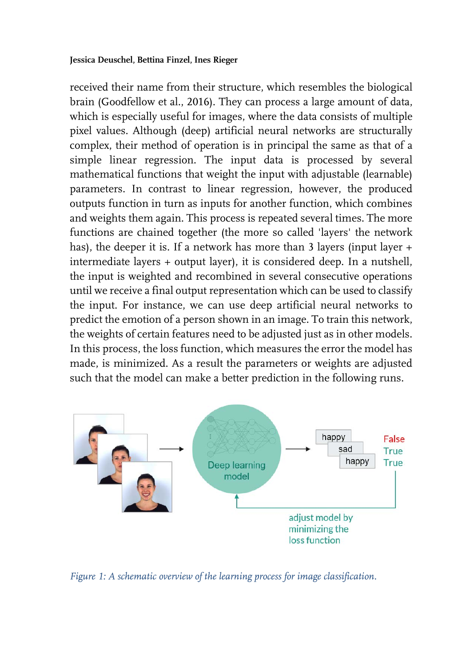received their name from their structure, which resembles the biological brain (Goodfellow et al., 2016). They can process a large amount of data, which is especially useful for images, where the data consists of multiple pixel values. Although (deep) artificial neural networks are structurally complex, their method of operation is in principal the same as that of a simple linear regression. The input data is processed by several mathematical functions that weight the input with adjustable (learnable) parameters. In contrast to linear regression, however, the produced outputs function in turn as inputs for another function, which combines and weights them again. This process is repeated several times. The more functions are chained together (the more so called 'layers' the network has), the deeper it is. If a network has more than 3 layers (input layer + intermediate layers + output layer), it is considered deep. In a nutshell, the input is weighted and recombined in several consecutive operations until we receive a final output representation which can be used to classify the input. For instance, we can use deep artificial neural networks to predict the emotion of a person shown in an image. To train this network, the weights of certain features need to be adjusted just as in other models. In this process, the loss function, which measures the error the model has made, is minimized. As a result the parameters or weights are adjusted such that the model can make a better prediction in the following runs.



*Figure 1: A schematic overview of the learning process for image classification.*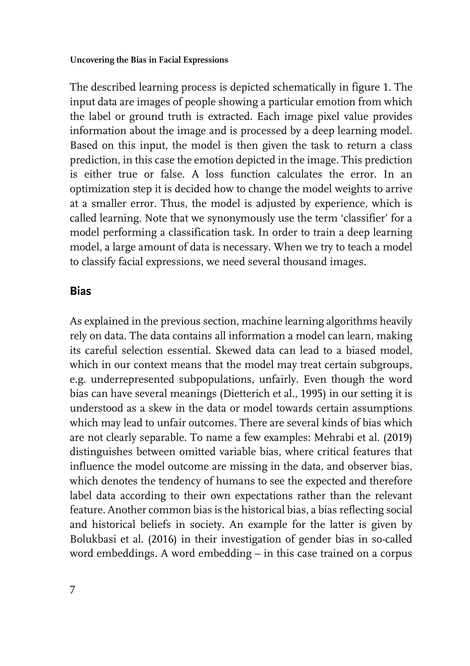The described learning process is depicted schematically in figure 1. The input data are images of people showing a particular emotion from which the label or ground truth is extracted. Each image pixel value provides information about the image and is processed by a deep learning model. Based on this input, the model is then given the task to return a class prediction, in this case the emotion depicted in the image. This prediction is either true or false. A loss function calculates the error. In an optimization step it is decided how to change the model weights to arrive at a smaller error. Thus, the model is adjusted by experience, which is called learning. Note that we synonymously use the term 'classifier' for a model performing a classification task. In order to train a deep learning model, a large amount of data is necessary. When we try to teach a model to classify facial expressions, we need several thousand images.

### **Bias**

As explained in the previous section, machine learning algorithms heavily rely on data. The data contains all information a model can learn, making its careful selection essential. Skewed data can lead to a biased model, which in our context means that the model may treat certain subgroups, e.g. underrepresented subpopulations, unfairly. Even though the word bias can have several meanings (Dietterich et al., 1995) in our setting it is understood as a skew in the data or model towards certain assumptions which may lead to unfair outcomes. There are several kinds of bias which are not clearly separable. To name a few examples: Mehrabi et al. (2019) distinguishes between omitted variable bias, where critical features that influence the model outcome are missing in the data, and observer bias, which denotes the tendency of humans to see the expected and therefore label data according to their own expectations rather than the relevant feature. Another common bias is the historical bias, a bias reflecting social and historical beliefs in society. An example for the latter is given by Bolukbasi et al. (2016) in their investigation of gender bias in so-called word embeddings. A word embedding – in this case trained on a corpus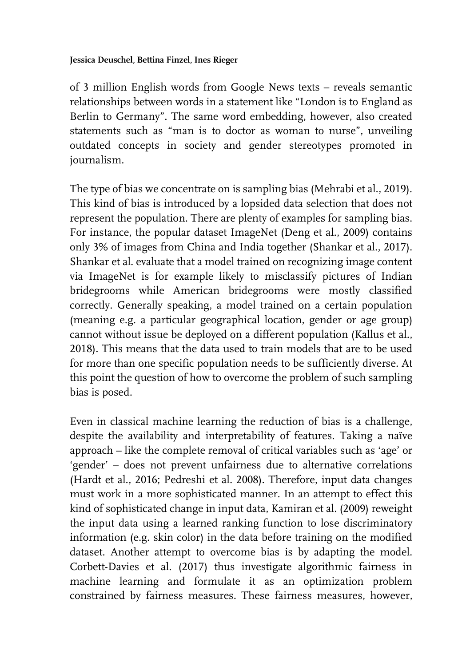of 3 million English words from Google News texts – reveals semantic relationships between words in a statement like "London is to England as Berlin to Germany". The same word embedding, however, also created statements such as "man is to doctor as woman to nurse", unveiling outdated concepts in society and gender stereotypes promoted in journalism.

The type of bias we concentrate on is sampling bias (Mehrabi et al., 2019). This kind of bias is introduced by a lopsided data selection that does not represent the population. There are plenty of examples for sampling bias. For instance, the popular dataset ImageNet (Deng et al., 2009) contains only 3% of images from China and India together (Shankar et al., 2017). Shankar et al. evaluate that a model trained on recognizing image content via ImageNet is for example likely to misclassify pictures of Indian bridegrooms while American bridegrooms were mostly classified correctly. Generally speaking, a model trained on a certain population (meaning e.g. a particular geographical location, gender or age group) cannot without issue be deployed on a different population (Kallus et al., 2018). This means that the data used to train models that are to be used for more than one specific population needs to be sufficiently diverse. At this point the question of how to overcome the problem of such sampling bias is posed.

Even in classical machine learning the reduction of bias is a challenge, despite the availability and interpretability of features. Taking a naïve approach – like the complete removal of critical variables such as 'age' or 'gender' – does not prevent unfairness due to alternative correlations (Hardt et al., 2016; Pedreshi et al. 2008). Therefore, input data changes must work in a more sophisticated manner. In an attempt to effect this kind of sophisticated change in input data, Kamiran et al. (2009) reweight the input data using a learned ranking function to lose discriminatory information (e.g. skin color) in the data before training on the modified dataset. Another attempt to overcome bias is by adapting the model. Corbett-Davies et al. (2017) thus investigate algorithmic fairness in machine learning and formulate it as an optimization problem constrained by fairness measures. These fairness measures, however,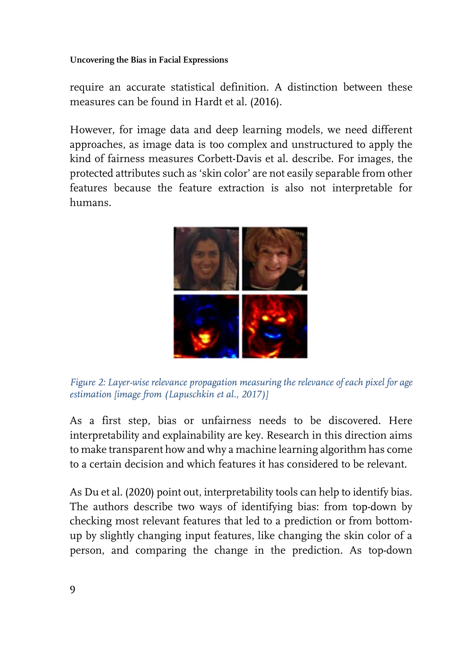require an accurate statistical definition. A distinction between these measures can be found in Hardt et al. (2016).

However, for image data and deep learning models, we need different approaches, as image data is too complex and unstructured to apply the kind of fairness measures Corbett-Davis et al. describe. For images, the protected attributes such as 'skin color' are not easily separable from other features because the feature extraction is also not interpretable for humans.



*Figure 2: Layer-wise relevance propagation measuring the relevance of each pixel for age estimation [image from (Lapuschkin et al., 2017)]*

As a first step, bias or unfairness needs to be discovered. Here interpretability and explainability are key. Research in this direction aims to make transparent how and why a machine learning algorithm has come to a certain decision and which features it has considered to be relevant.

As Du et al. (2020) point out, interpretability tools can help to identify bias. The authors describe two ways of identifying bias: from top-down by checking most relevant features that led to a prediction or from bottomup by slightly changing input features, like changing the skin color of a person, and comparing the change in the prediction. As top-down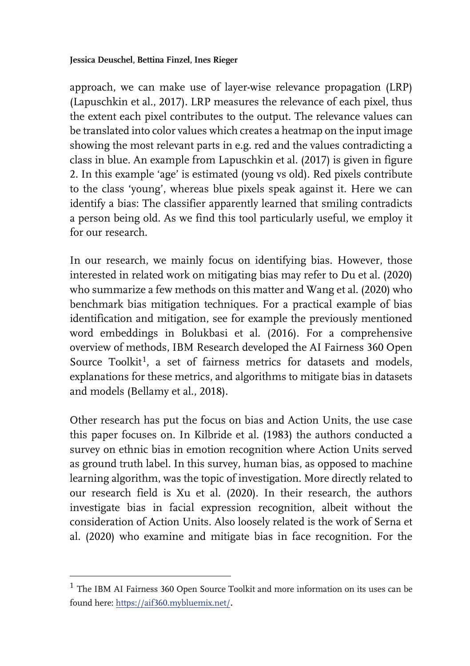approach, we can make use of layer-wise relevance propagation (LRP) (Lapuschkin et al., 2017). LRP measures the relevance of each pixel, thus the extent each pixel contributes to the output. The relevance values can be translated into color values which creates a heatmap on the input image showing the most relevant parts in e.g. red and the values contradicting a class in blue. An example from Lapuschkin et al. (2017) is given in figure 2. In this example 'age' is estimated (young vs old). Red pixels contribute to the class 'young', whereas blue pixels speak against it. Here we can identify a bias: The classifier apparently learned that smiling contradicts a person being old. As we find this tool particularly useful, we employ it for our research.

In our research, we mainly focus on identifying bias. However, those interested in related work on mitigating bias may refer to Du et al. (2020) who summarize a few methods on this matter and Wang et al. (2020) who benchmark bias mitigation techniques. For a practical example of bias identification and mitigation, see for example the previously mentioned word embeddings in Bolukbasi et al. (2016). For a comprehensive overview of methods, IBM Research developed the AI Fairness 360 Open Source Toolkit<sup>1</sup>, a set of fairness metrics for datasets and models, explanations for these metrics, and algorithms to mitigate bias in datasets and models (Bellamy et al., 2018).

Other research has put the focus on bias and Action Units, the use case this paper focuses on. In Kilbride et al. (1983) the authors conducted a survey on ethnic bias in emotion recognition where Action Units served as ground truth label. In this survey, human bias, as opposed to machine learning algorithm, was the topic of investigation. More directly related to our research field is Xu et al. (2020). In their research, the authors investigate bias in facial expression recognition, albeit without the consideration of Action Units. Also loosely related is the work of Serna et al. (2020) who examine and mitigate bias in face recognition. For the

 $\overline{a}$ 

<span id="page-9-0"></span> $^{\rm 1}$  The IBM AI Fairness 360 Open Source Toolkit and more information on its uses can be found here[: https://aif360.mybluemix.net/](https://aif360.mybluemix.net/).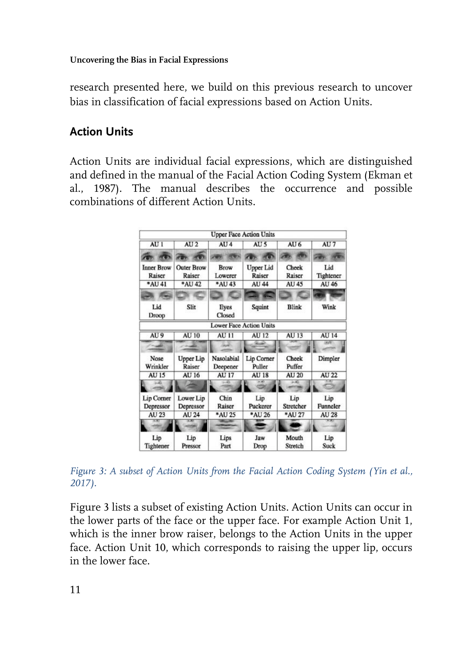research presented here, we build on this previous research to uncover bias in classification of facial expressions based on Action Units.

## **Action Units**

Action Units are individual facial expressions, which are distinguished and defined in the manual of the Facial Action Coding System (Ekman et al., 1987). The manual describes the occurrence and possible combinations of different Action Units.

|                             |                             |                        | <b>Upper Face Action Units</b> |                     |                          |
|-----------------------------|-----------------------------|------------------------|--------------------------------|---------------------|--------------------------|
| AU1                         | AU <sub>2</sub>             | AU <sub>4</sub>        | AU <sub>5</sub>                | AU <sub>6</sub>     | AU <sub>7</sub>          |
|                             |                             |                        |                                |                     |                          |
| <b>Inner Brow</b><br>Raiser | <b>Outer Brow</b><br>Raiser | Brow<br>Lowerer        | <b>Upper Lid</b><br>Raiser     | Cheek<br>Raiser     | Lid<br>Tightener         |
| *AU 41                      | *AU 42                      | *AU 43                 | AU 44                          | <b>AU 45</b>        | AU 46                    |
|                             |                             |                        |                                |                     |                          |
| Lid<br>Droop                | Slit                        | Eyes<br>Closed         | Squint                         | <b>Blink</b>        | Wink                     |
|                             |                             |                        | <b>Lower Face Action Units</b> |                     |                          |
| AU <sub>9</sub>             | <b>AU 10</b>                | <b>AU 11</b>           | <b>AU 12</b>                   | <b>AU 13</b>        | <b>AU 14</b>             |
| - 48                        |                             |                        |                                |                     | $\overline{1}$           |
| Nose<br>Wrinkler            | <b>Upper Lip</b><br>Raiser  | Nasolabial<br>Deepener | Lip Corner<br>Puller           | Cheek<br>Puffer     | Dimpler                  |
| <b>AU 15</b>                | AU 16                       | <b>AU 17</b>           | <b>AU 18</b>                   | <b>AU 20</b>        | <b>AU 22</b>             |
| تغدد                        |                             | $-8$                   |                                | $-2$                |                          |
| <b>Lip Corner</b>           | Lower Lip                   | Chin                   | Lip                            | Lip                 | Lip                      |
| Depressor<br>AU 23          | Depressor<br>AU 24          | Raiser<br>*AU 25       | Puckerer<br>*AU 26             | Stretcher<br>*AU 27 | Funneler<br><b>AU 28</b> |
|                             |                             |                        |                                |                     |                          |
| Lip<br>Tightener            | Lip<br>Pressor              | Lips<br>Part           | Jaw<br>Drop                    | Mouth<br>Stretch    | Lip<br><b>Suck</b>       |

*Figure 3: A subset of Action Units from the Facial Action Coding System (Yin et al., 2017).*

Figure 3 lists a subset of existing Action Units. Action Units can occur in the lower parts of the face or the upper face. For example Action Unit 1, which is the inner brow raiser, belongs to the Action Units in the upper face. Action Unit 10, which corresponds to raising the upper lip, occurs in the lower face.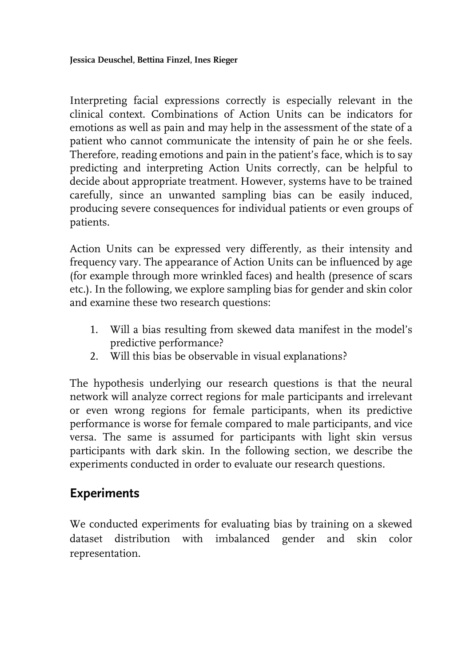Interpreting facial expressions correctly is especially relevant in the clinical context. Combinations of Action Units can be indicators for emotions as well as pain and may help in the assessment of the state of a patient who cannot communicate the intensity of pain he or she feels. Therefore, reading emotions and pain in the patient's face, which is to say predicting and interpreting Action Units correctly, can be helpful to decide about appropriate treatment. However, systems have to be trained carefully, since an unwanted sampling bias can be easily induced, producing severe consequences for individual patients or even groups of patients.

Action Units can be expressed very differently, as their intensity and frequency vary. The appearance of Action Units can be influenced by age (for example through more wrinkled faces) and health (presence of scars etc.). In the following, we explore sampling bias for gender and skin color and examine these two research questions:

- 1. Will a bias resulting from skewed data manifest in the model's predictive performance?
- 2. Will this bias be observable in visual explanations?

The hypothesis underlying our research questions is that the neural network will analyze correct regions for male participants and irrelevant or even wrong regions for female participants, when its predictive performance is worse for female compared to male participants, and vice versa. The same is assumed for participants with light skin versus participants with dark skin. In the following section, we describe the experiments conducted in order to evaluate our research questions.

# **Experiments**

We conducted experiments for evaluating bias by training on a skewed dataset distribution with imbalanced gender and skin color representation.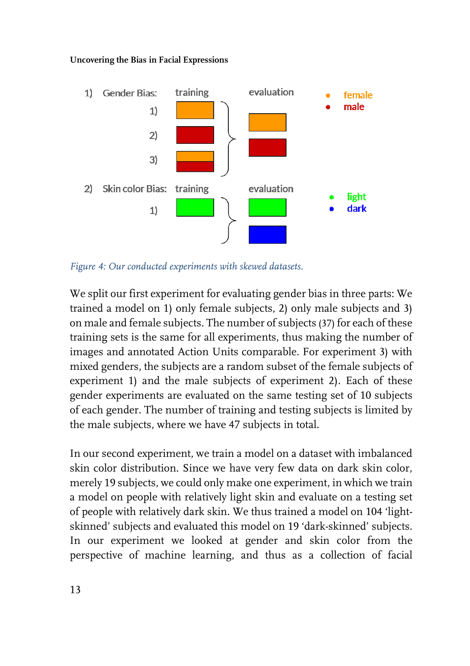

*Figure 4: Our conducted experiments with skewed datasets.*

We split our first experiment for evaluating gender bias in three parts: We trained a model on 1) only female subjects, 2) only male subjects and 3) on male and female subjects. The number of subjects (37) for each of these training sets is the same for all experiments, thus making the number of images and annotated Action Units comparable. For experiment 3) with mixed genders, the subjects are a random subset of the female subjects of experiment 1) and the male subjects of experiment 2). Each of these gender experiments are evaluated on the same testing set of 10 subjects of each gender. The number of training and testing subjects is limited by the male subjects, where we have 47 subjects in total.

In our second experiment, we train a model on a dataset with imbalanced skin color distribution. Since we have very few data on dark skin color, merely 19 subjects, we could only make one experiment, in which we train a model on people with relatively light skin and evaluate on a testing set of people with relatively dark skin. We thus trained a model on 104 'lightskinned' subjects and evaluated this model on 19 'dark-skinned' subjects. In our experiment we looked at gender and skin color from the perspective of machine learning, and thus as a collection of facial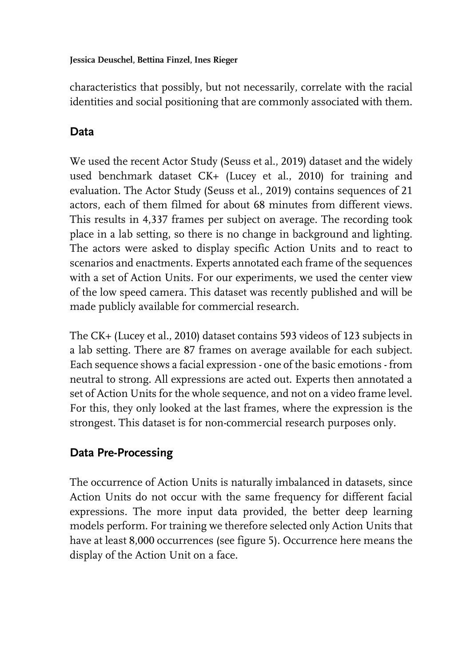characteristics that possibly, but not necessarily, correlate with the racial identities and social positioning that are commonly associated with them.

## **Data**

We used the recent Actor Study (Seuss et al., 2019) dataset and the widely used benchmark dataset CK+ (Lucey et al., 2010) for training and evaluation. The Actor Study (Seuss et al., 2019) contains sequences of 21 actors, each of them filmed for about 68 minutes from different views. This results in 4,337 frames per subject on average. The recording took place in a lab setting, so there is no change in background and lighting. The actors were asked to display specific Action Units and to react to scenarios and enactments. Experts annotated each frame of the sequences with a set of Action Units. For our experiments, we used the center view of the low speed camera. This dataset was recently published and will be made publicly available for commercial research.

The CK+ (Lucey et al., 2010) dataset contains 593 videos of 123 subjects in a lab setting. There are 87 frames on average available for each subject. Each sequence shows a facial expression - one of the basic emotions - from neutral to strong. All expressions are acted out. Experts then annotated a set of Action Units for the whole sequence, and not on a video frame level. For this, they only looked at the last frames, where the expression is the strongest. This dataset is for non-commercial research purposes only.

## **Data Pre-Processing**

The occurrence of Action Units is naturally imbalanced in datasets, since Action Units do not occur with the same frequency for different facial expressions. The more input data provided, the better deep learning models perform. For training we therefore selected only Action Units that have at least 8,000 occurrences (see figure 5). Occurrence here means the display of the Action Unit on a face.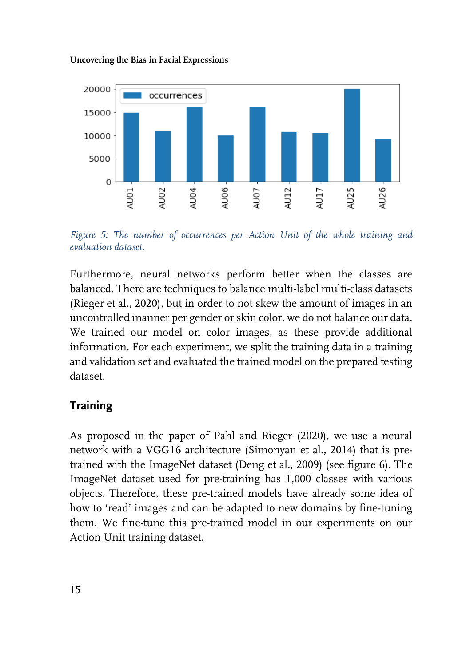

*Figure 5: The number of occurrences per Action Unit of the whole training and evaluation dataset.*

Furthermore, neural networks perform better when the classes are balanced. There are techniques to balance multi-label multi-class datasets (Rieger et al., 2020), but in order to not skew the amount of images in an uncontrolled manner per gender or skin color, we do not balance our data. We trained our model on color images, as these provide additional information. For each experiment, we split the training data in a training and validation set and evaluated the trained model on the prepared testing dataset.

## **Training**

As proposed in the paper of Pahl and Rieger (2020), we use a neural network with a VGG16 architecture (Simonyan et al., 2014) that is pretrained with the ImageNet dataset (Deng et al., 2009) (see figure 6). The ImageNet dataset used for pre-training has 1,000 classes with various objects. Therefore, these pre-trained models have already some idea of how to 'read' images and can be adapted to new domains by fine-tuning them. We fine-tune this pre-trained model in our experiments on our Action Unit training dataset.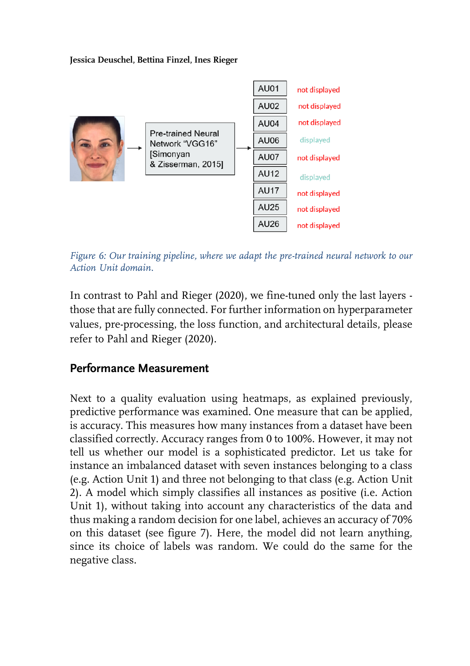

*Figure 6: Our training pipeline, where we adapt the pre-trained neural network to our Action Unit domain.*

In contrast to Pahl and Rieger (2020), we fine-tuned only the last layers those that are fully connected. For further information on hyperparameter values, pre-processing, the loss function, and architectural details, please refer to Pahl and Rieger (2020).

### **Performance Measurement**

Next to a quality evaluation using heatmaps, as explained previously, predictive performance was examined. One measure that can be applied, is accuracy. This measures how many instances from a dataset have been classified correctly. Accuracy ranges from 0 to 100%. However, it may not tell us whether our model is a sophisticated predictor. Let us take for instance an imbalanced dataset with seven instances belonging to a class (e.g. Action Unit 1) and three not belonging to that class (e.g. Action Unit 2). A model which simply classifies all instances as positive (i.e. Action Unit 1), without taking into account any characteristics of the data and thus making a random decision for one label, achieves an accuracy of 70% on this dataset (see figure 7). Here, the model did not learn anything, since its choice of labels was random. We could do the same for the negative class.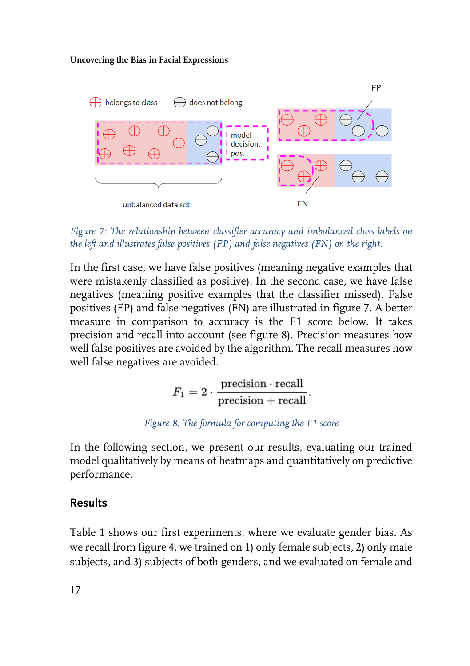

*Figure 7: The relationship between classifier accuracy and imbalanced class labels on the left and illustrates false positives (FP) and false negatives (FN) on the right.*

In the first case, we have false positives (meaning negative examples that were mistakenly classified as positive). In the second case, we have false negatives (meaning positive examples that the classifier missed). False positives (FP) and false negatives (FN) are illustrated in figure 7. A better measure in comparison to accuracy is the F1 score below. It takes precision and recall into account (see figure 8). Precision measures how well false positives are avoided by the algorithm. The recall measures how well false negatives are avoided.

$$
F_1 = 2 \cdot \frac{\text{precision} \cdot \text{recall}}{\text{precision} + \text{recall}}.
$$

### *Figure 8: The formula for computing the F1 score*

In the following section, we present our results, evaluating our trained model qualitatively by means of heatmaps and quantitatively on predictive performance.

### **Results**

Table 1 shows our first experiments, where we evaluate gender bias. As we recall from figure 4, we trained on 1) only female subjects, 2) only male subjects, and 3) subjects of both genders, and we evaluated on female and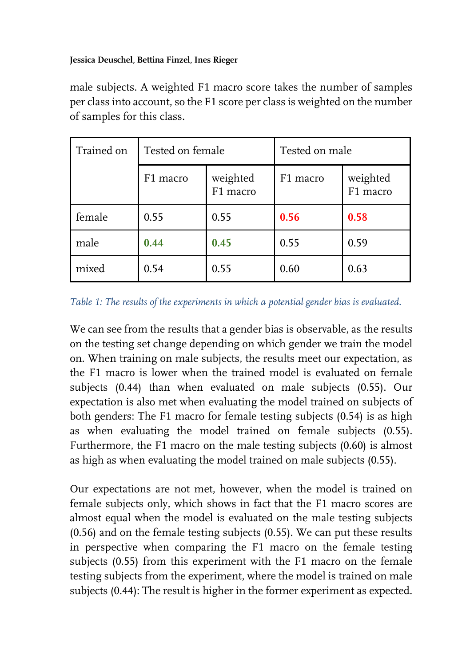male subjects. A weighted F1 macro score takes the number of samples per class into account, so the F1 score per class is weighted on the number of samples for this class.

| Trained on | Tested on female |                      | Tested on male |                      |
|------------|------------------|----------------------|----------------|----------------------|
|            | F1 macro         | weighted<br>F1 macro | F1 macro       | weighted<br>F1 macro |
| female     | 0.55             | 0.55                 | 0.56           | 0.58                 |
| male       | 0.44             | 0.45                 | 0.55           | 0.59                 |
| mixed      | 0.54             | 0.55                 | 0.60           | 0.63                 |

*Table 1: The results of the experiments in which a potential gender bias is evaluated.*

We can see from the results that a gender bias is observable, as the results on the testing set change depending on which gender we train the model on. When training on male subjects, the results meet our expectation, as the F1 macro is lower when the trained model is evaluated on female subjects (0.44) than when evaluated on male subjects (0.55). Our expectation is also met when evaluating the model trained on subjects of both genders: The F1 macro for female testing subjects (0.54) is as high as when evaluating the model trained on female subjects (0.55). Furthermore, the F1 macro on the male testing subjects (0.60) is almost as high as when evaluating the model trained on male subjects (0.55).

Our expectations are not met, however, when the model is trained on female subjects only, which shows in fact that the F1 macro scores are almost equal when the model is evaluated on the male testing subjects (0.56) and on the female testing subjects (0.55). We can put these results in perspective when comparing the F1 macro on the female testing subjects (0.55) from this experiment with the F1 macro on the female testing subjects from the experiment, where the model is trained on male subjects (0.44): The result is higher in the former experiment as expected.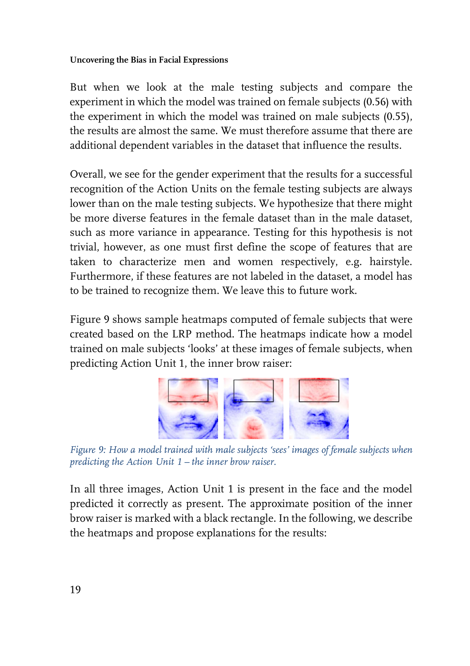But when we look at the male testing subjects and compare the experiment in which the model was trained on female subjects (0.56) with the experiment in which the model was trained on male subjects (0.55), the results are almost the same. We must therefore assume that there are additional dependent variables in the dataset that influence the results.

Overall, we see for the gender experiment that the results for a successful recognition of the Action Units on the female testing subjects are always lower than on the male testing subjects. We hypothesize that there might be more diverse features in the female dataset than in the male dataset, such as more variance in appearance. Testing for this hypothesis is not trivial, however, as one must first define the scope of features that are taken to characterize men and women respectively, e.g. hairstyle. Furthermore, if these features are not labeled in the dataset, a model has to be trained to recognize them. We leave this to future work.

Figure 9 shows sample heatmaps computed of female subjects that were created based on the LRP method. The heatmaps indicate how a model trained on male subjects 'looks' at these images of female subjects, when predicting Action Unit 1, the inner brow raiser:



*Figure 9: How a model trained with male subjects 'sees' images of female subjects when predicting the Action Unit 1 – the inner brow raiser.*

In all three images, Action Unit 1 is present in the face and the model predicted it correctly as present. The approximate position of the inner brow raiser is marked with a black rectangle. In the following, we describe the heatmaps and propose explanations for the results: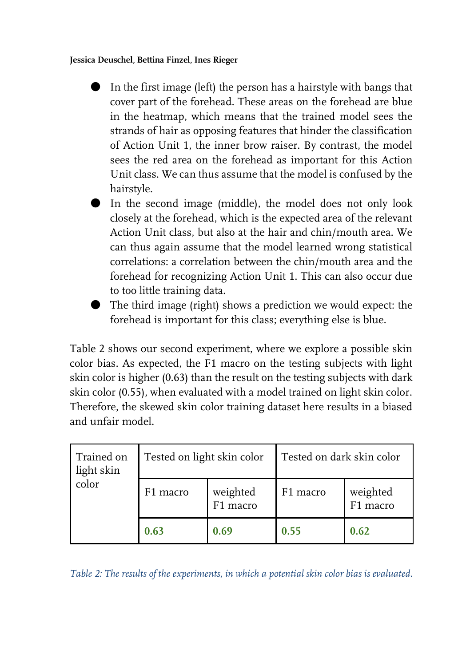- In the first image (left) the person has a hairstyle with bangs that cover part of the forehead. These areas on the forehead are blue in the heatmap, which means that the trained model sees the strands of hair as opposing features that hinder the classification of Action Unit 1, the inner brow raiser. By contrast, the model sees the red area on the forehead as important for this Action Unit class. We can thus assume that the model is confused by the hairstyle.
- In the second image (middle), the model does not only look closely at the forehead, which is the expected area of the relevant Action Unit class, but also at the hair and chin/mouth area. We can thus again assume that the model learned wrong statistical correlations: a correlation between the chin/mouth area and the forehead for recognizing Action Unit 1. This can also occur due to too little training data.
- The third image (right) shows a prediction we would expect: the forehead is important for this class; everything else is blue.

Table 2 shows our second experiment, where we explore a possible skin color bias. As expected, the F1 macro on the testing subjects with light skin color is higher (0.63) than the result on the testing subjects with dark skin color (0.55), when evaluated with a model trained on light skin color. Therefore, the skewed skin color training dataset here results in a biased and unfair model.

| Trained on<br>light skin<br>color | Tested on light skin color |                      | Tested on dark skin color |                      |
|-----------------------------------|----------------------------|----------------------|---------------------------|----------------------|
|                                   | F1 macro                   | weighted<br>F1 macro | F1 macro                  | weighted<br>F1 macro |
|                                   | 0.63                       | 0.69                 | 0.55                      | 0.62                 |

*Table 2: The results of the experiments, in which a potential skin color bias is evaluated.*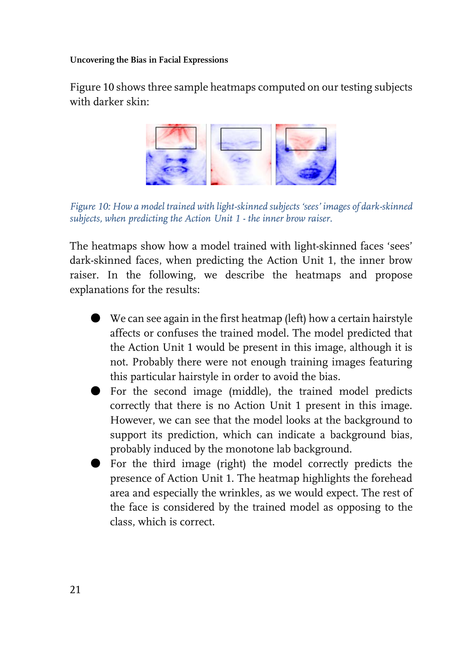Figure 10 shows three sample heatmaps computed on our testing subjects with darker skin:



*Figure 10: How a model trained with light-skinned subjects 'sees' images of dark-skinned subjects, when predicting the Action Unit 1 - the inner brow raiser.*

The heatmaps show how a model trained with light-skinned faces 'sees' dark-skinned faces, when predicting the Action Unit 1, the inner brow raiser. In the following, we describe the heatmaps and propose explanations for the results:

- We can see again in the first heatmap (left) how a certain hairstyle affects or confuses the trained model. The model predicted that the Action Unit 1 would be present in this image, although it is not. Probably there were not enough training images featuring this particular hairstyle in order to avoid the bias.
- For the second image (middle), the trained model predicts correctly that there is no Action Unit 1 present in this image. However, we can see that the model looks at the background to support its prediction, which can indicate a background bias, probably induced by the monotone lab background.
- For the third image (right) the model correctly predicts the presence of Action Unit 1. The heatmap highlights the forehead area and especially the wrinkles, as we would expect. The rest of the face is considered by the trained model as opposing to the class, which is correct.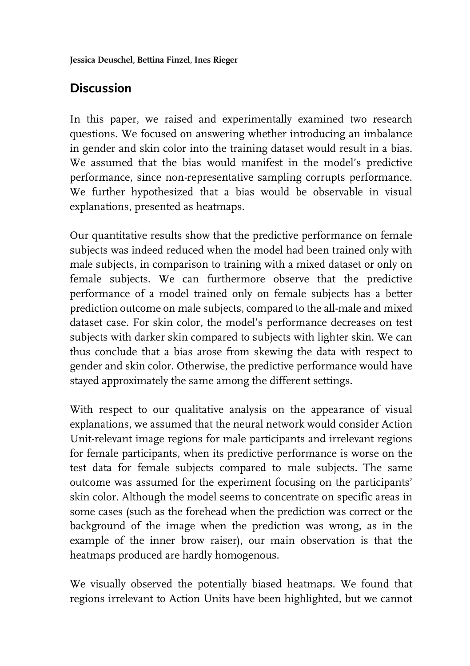# **Discussion**

In this paper, we raised and experimentally examined two research questions. We focused on answering whether introducing an imbalance in gender and skin color into the training dataset would result in a bias. We assumed that the bias would manifest in the model's predictive performance, since non-representative sampling corrupts performance. We further hypothesized that a bias would be observable in visual explanations, presented as heatmaps.

Our quantitative results show that the predictive performance on female subjects was indeed reduced when the model had been trained only with male subjects, in comparison to training with a mixed dataset or only on female subjects. We can furthermore observe that the predictive performance of a model trained only on female subjects has a better prediction outcome on male subjects, compared to the all-male and mixed dataset case. For skin color, the model's performance decreases on test subjects with darker skin compared to subjects with lighter skin. We can thus conclude that a bias arose from skewing the data with respect to gender and skin color. Otherwise, the predictive performance would have stayed approximately the same among the different settings.

With respect to our qualitative analysis on the appearance of visual explanations, we assumed that the neural network would consider Action Unit-relevant image regions for male participants and irrelevant regions for female participants, when its predictive performance is worse on the test data for female subjects compared to male subjects. The same outcome was assumed for the experiment focusing on the participants' skin color. Although the model seems to concentrate on specific areas in some cases (such as the forehead when the prediction was correct or the background of the image when the prediction was wrong, as in the example of the inner brow raiser), our main observation is that the heatmaps produced are hardly homogenous.

We visually observed the potentially biased heatmaps. We found that regions irrelevant to Action Units have been highlighted, but we cannot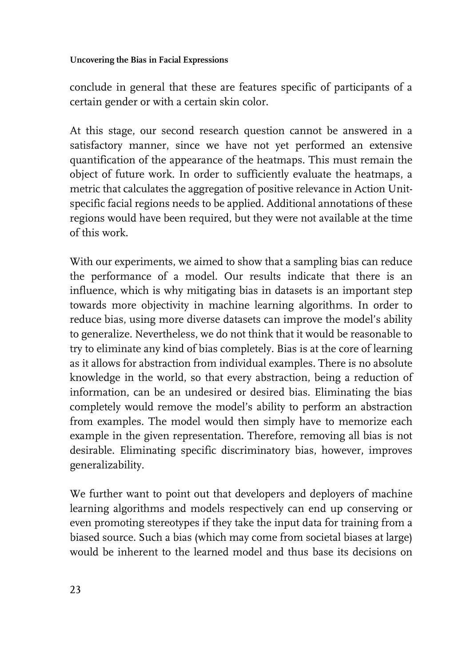conclude in general that these are features specific of participants of a certain gender or with a certain skin color.

At this stage, our second research question cannot be answered in a satisfactory manner, since we have not yet performed an extensive quantification of the appearance of the heatmaps. This must remain the object of future work. In order to sufficiently evaluate the heatmaps, a metric that calculates the aggregation of positive relevance in Action Unitspecific facial regions needs to be applied. Additional annotations of these regions would have been required, but they were not available at the time of this work.

With our experiments, we aimed to show that a sampling bias can reduce the performance of a model. Our results indicate that there is an influence, which is why mitigating bias in datasets is an important step towards more objectivity in machine learning algorithms. In order to reduce bias, using more diverse datasets can improve the model's ability to generalize. Nevertheless, we do not think that it would be reasonable to try to eliminate any kind of bias completely. Bias is at the core of learning as it allows for abstraction from individual examples. There is no absolute knowledge in the world, so that every abstraction, being a reduction of information, can be an undesired or desired bias. Eliminating the bias completely would remove the model's ability to perform an abstraction from examples. The model would then simply have to memorize each example in the given representation. Therefore, removing all bias is not desirable. Eliminating specific discriminatory bias, however, improves generalizability.

We further want to point out that developers and deployers of machine learning algorithms and models respectively can end up conserving or even promoting stereotypes if they take the input data for training from a biased source. Such a bias (which may come from societal biases at large) would be inherent to the learned model and thus base its decisions on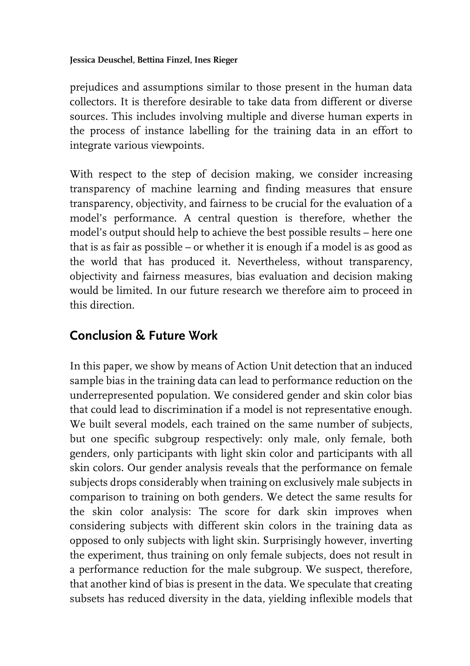prejudices and assumptions similar to those present in the human data collectors. It is therefore desirable to take data from different or diverse sources. This includes involving multiple and diverse human experts in the process of instance labelling for the training data in an effort to integrate various viewpoints.

With respect to the step of decision making, we consider increasing transparency of machine learning and finding measures that ensure transparency, objectivity, and fairness to be crucial for the evaluation of a model's performance. A central question is therefore, whether the model's output should help to achieve the best possible results – here one that is as fair as possible – or whether it is enough if a model is as good as the world that has produced it. Nevertheless, without transparency, objectivity and fairness measures, bias evaluation and decision making would be limited. In our future research we therefore aim to proceed in this direction.

# **Conclusion & Future Work**

In this paper, we show by means of Action Unit detection that an induced sample bias in the training data can lead to performance reduction on the underrepresented population. We considered gender and skin color bias that could lead to discrimination if a model is not representative enough. We built several models, each trained on the same number of subjects, but one specific subgroup respectively: only male, only female, both genders, only participants with light skin color and participants with all skin colors. Our gender analysis reveals that the performance on female subjects drops considerably when training on exclusively male subjects in comparison to training on both genders. We detect the same results for the skin color analysis: The score for dark skin improves when considering subjects with different skin colors in the training data as opposed to only subjects with light skin. Surprisingly however, inverting the experiment, thus training on only female subjects, does not result in a performance reduction for the male subgroup. We suspect, therefore, that another kind of bias is present in the data. We speculate that creating subsets has reduced diversity in the data, yielding inflexible models that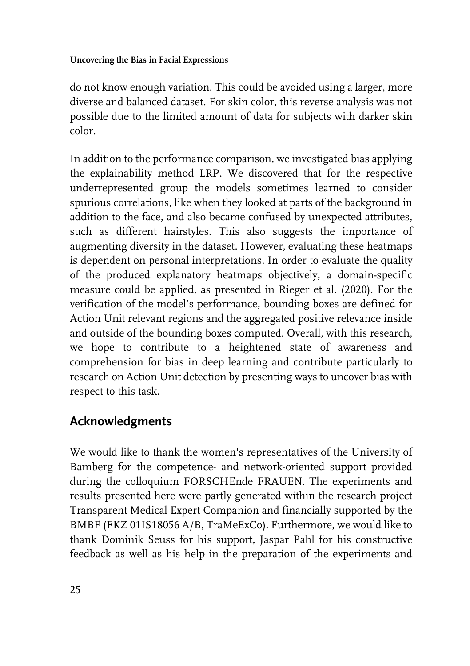do not know enough variation. This could be avoided using a larger, more diverse and balanced dataset. For skin color, this reverse analysis was not possible due to the limited amount of data for subjects with darker skin color.

In addition to the performance comparison, we investigated bias applying the explainability method LRP. We discovered that for the respective underrepresented group the models sometimes learned to consider spurious correlations, like when they looked at parts of the background in addition to the face, and also became confused by unexpected attributes, such as different hairstyles. This also suggests the importance of augmenting diversity in the dataset. However, evaluating these heatmaps is dependent on personal interpretations. In order to evaluate the quality of the produced explanatory heatmaps objectively, a domain-specific measure could be applied, as presented in Rieger et al. (2020). For the verification of the model's performance, bounding boxes are defined for Action Unit relevant regions and the aggregated positive relevance inside and outside of the bounding boxes computed. Overall, with this research, we hope to contribute to a heightened state of awareness and comprehension for bias in deep learning and contribute particularly to research on Action Unit detection by presenting ways to uncover bias with respect to this task.

# **Acknowledgments**

We would like to thank the women's representatives of the University of Bamberg for the competence- and network-oriented support provided during the colloquium FORSCHEnde FRAUEN. The experiments and results presented here were partly generated within the research project Transparent Medical Expert Companion and financially supported by the BMBF (FKZ 01IS18056 A/B, TraMeExCo). Furthermore, we would like to thank Dominik Seuss for his support, Jaspar Pahl for his constructive feedback as well as his help in the preparation of the experiments and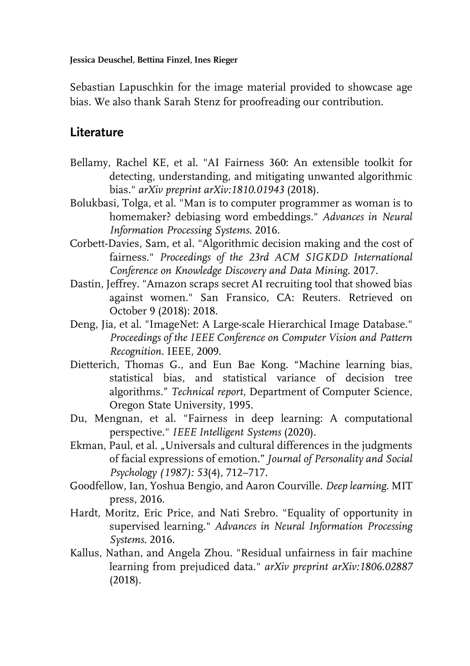Sebastian Lapuschkin for the image material provided to showcase age bias. We also thank Sarah Stenz for proofreading our contribution.

## **Literature**

- Bellamy, Rachel KE, et al. "AI Fairness 360: An extensible toolkit for detecting, understanding, and mitigating unwanted algorithmic bias." *arXiv preprint arXiv:1810.01943* (2018).
- Bolukbasi, Tolga, et al. "Man is to computer programmer as woman is to homemaker? debiasing word embeddings." *Advances in Neural Information Processing Systems*. 2016.
- Corbett-Davies, Sam, et al. "Algorithmic decision making and the cost of fairness." *Proceedings of the 23rd ACM SIGKDD International Conference on Knowledge Discovery and Data Mining*. 2017.
- Dastin, Jeffrey. "Amazon scraps secret AI recruiting tool that showed bias against women." San Fransico, CA: Reuters. Retrieved on October 9 (2018): 2018.
- Deng, Jia, et al. "ImageNet: A Large-scale Hierarchical Image Database." *Proceedings of the IEEE Conference on Computer Vision and Pattern Recognition.* IEEE, 2009.
- Dietterich, Thomas G., and Eun Bae Kong. "Machine learning bias, statistical bias, and statistical variance of decision tree algorithms." *Technical report*, Department of Computer Science, Oregon State University, 1995.
- Du, Mengnan, et al. "Fairness in deep learning: A computational perspective." *IEEE Intelligent Systems* (2020).
- Ekman, Paul, et al. "Universals and cultural differences in the judgments of facial expressions of emotion." *Journal of Personality and Social Psychology (1987): 53*(4), 712–717.
- Goodfellow, Ian, Yoshua Bengio, and Aaron Courville. *Deep learning*. MIT press, 2016.
- Hardt, Moritz, Eric Price, and Nati Srebro. "Equality of opportunity in supervised learning." *Advances in Neural Information Processing Systems*. 2016.
- Kallus, Nathan, and Angela Zhou. "Residual unfairness in fair machine learning from prejudiced data." *arXiv preprint arXiv:1806.02887* (2018).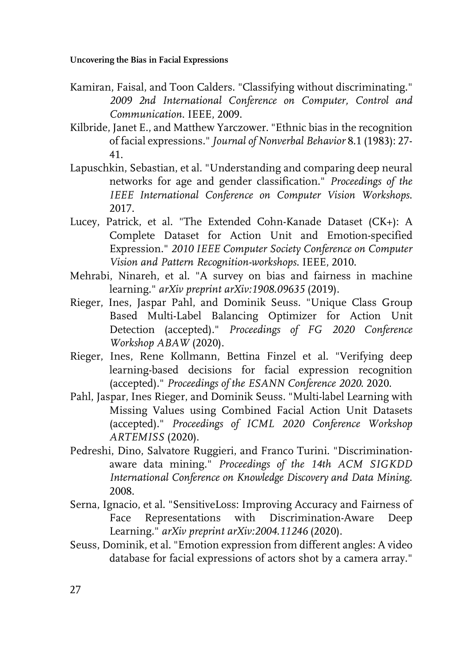- Kamiran, Faisal, and Toon Calders. "Classifying without discriminating." *2009 2nd International Conference on Computer, Control and Communication*. IEEE, 2009.
- Kilbride, Janet E., and Matthew Yarczower. "Ethnic bias in the recognition of facial expressions." *Journal of Nonverbal Behavior* 8.1 (1983): 27- 41.
- Lapuschkin, Sebastian, et al. "Understanding and comparing deep neural networks for age and gender classification." *Proceedings of the IEEE International Conference on Computer Vision Workshops*. 2017.
- Lucey, Patrick, et al. "The Extended Cohn-Kanade Dataset (CK+): A Complete Dataset for Action Unit and Emotion-specified Expression." *2010 IEEE Computer Society Conference on Computer Vision and Pattern Recognition-workshops*. IEEE, 2010.
- Mehrabi, Ninareh, et al. "A survey on bias and fairness in machine learning." *arXiv preprint arXiv:1908.09635* (2019).
- Rieger, Ines, Jaspar Pahl, and Dominik Seuss. "Unique Class Group Based Multi-Label Balancing Optimizer for Action Unit Detection (accepted)." *Proceedings of FG 2020 Conference Workshop ABAW* (2020).
- Rieger, Ines, Rene Kollmann, Bettina Finzel et al. "Verifying deep learning-based decisions for facial expression recognition (accepted)." *Proceedings of the ESANN Conference 2020*. 2020.
- Pahl, Jaspar, Ines Rieger, and Dominik Seuss. "Multi-label Learning with Missing Values using Combined Facial Action Unit Datasets (accepted)." *Proceedings of ICML 2020 Conference Workshop ARTEMISS* (2020).
- Pedreshi, Dino, Salvatore Ruggieri, and Franco Turini. "Discriminationaware data mining." *Proceedings of the 14th ACM SIGKDD International Conference on Knowledge Discovery and Data Mining*. 2008.
- Serna, Ignacio, et al. "SensitiveLoss: Improving Accuracy and Fairness of Face Representations with Discrimination-Aware Deep Learning." *arXiv preprint arXiv:2004.11246* (2020).
- Seuss, Dominik, et al. "Emotion expression from different angles: A video database for facial expressions of actors shot by a camera array."